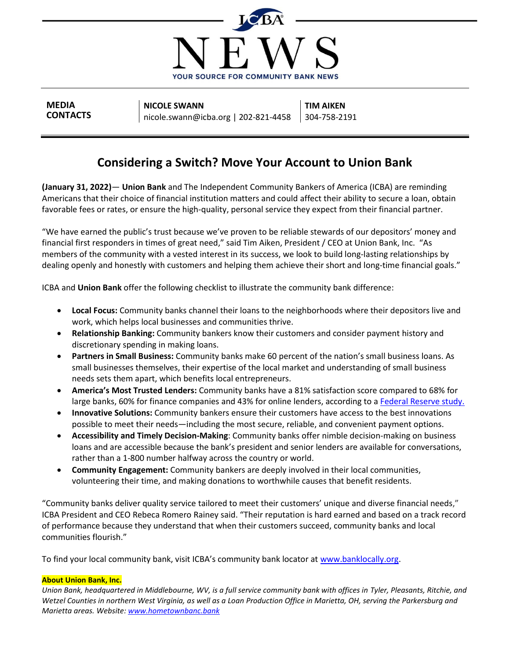

**MEDIA CONTACTS**

**NICOLE SWANN** nicole.swann@icba.org | 202-821-4458 **TIM AIKEN** 304-758-2191

## **Considering a Switch? Move Your Account to Union Bank**

**(January 31, 2022)**— **Union Bank** and The Independent Community Bankers of America (ICBA) are reminding Americans that their choice of financial institution matters and could affect their ability to secure a loan, obtain favorable fees or rates, or ensure the high-quality, personal service they expect from their financial partner.

"We have earned the public's trust because we've proven to be reliable stewards of our depositors' money and financial first responders in times of great need," said Tim Aiken, President / CEO at Union Bank, Inc. "As members of the community with a vested interest in its success, we look to build long-lasting relationships by dealing openly and honestly with customers and helping them achieve their short and long-time financial goals."

ICBA and **Union Bank** offer the following checklist to illustrate the community bank difference:

- **Local Focus:** Community banks channel their loans to the neighborhoods where their depositors live and work, which helps local businesses and communities thrive.
- **Relationship Banking:** Community bankers know their customers and consider payment history and discretionary spending in making loans.
- **Partners in Small Business:** Community banks make 60 percent of the nation's small business loans. As small businesses themselves, their expertise of the local market and understanding of small business needs sets them apart, which benefits local entrepreneurs.
- **America's Most Trusted Lenders:** Community banks have a 81% satisfaction score compared to 68% for large banks, 60% for finance companies and 43% for online lenders, according to a [Federal Reserve study.](https://www.fedsmallbusiness.org/medialibrary/FedSmallBusiness/files/2021/2021-sbcs-employer-firms-report)
- **Innovative Solutions:** Community bankers ensure their customers have access to the best innovations possible to meet their needs—including the most secure, reliable, and convenient payment options.
- **Accessibility and Timely Decision-Making**: Community banks offer nimble decision-making on business loans and are accessible because the bank's president and senior lenders are available for conversations, rather than a 1-800 number halfway across the country or world.
- **Community Engagement:** Community bankers are deeply involved in their local communities, volunteering their time, and making donations to worthwhile causes that benefit residents.

"Community banks deliver quality service tailored to meet their customers' unique and diverse financial needs," ICBA President and CEO Rebeca Romero Rainey said. "Their reputation is hard earned and based on a track record of performance because they understand that when their customers succeed, community banks and local communities flourish."

To find your local community bank, visit ICBA's community bank locator at [www.banklocally.org.](http://www.banklocally.org/)

## **About Union Bank, Inc.**

*Union Bank, headquartered in Middlebourne, WV, is a full service community bank with offices in Tyler, Pleasants, Ritchie, and Wetzel Counties in northern West Virginia, as well as a Loan Production Office in Marietta, OH, serving the Parkersburg and Marietta areas. Website: [www.hometownbanc.bank](http://www.hometownbanc.bank/)*